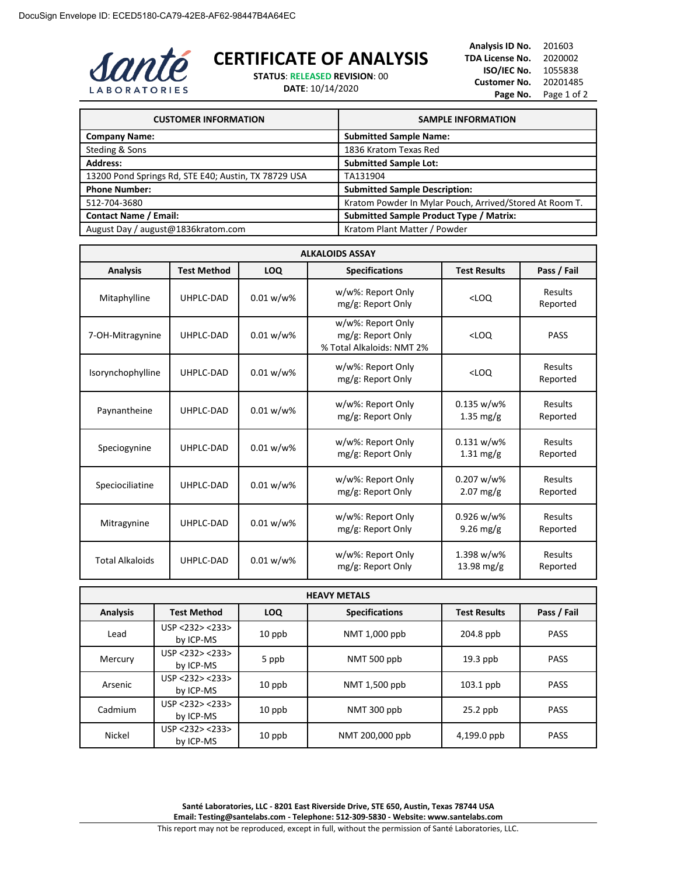

## **CERTIFICATE OF ANALYSIS**

**STATUS**: **RELEASED REVISION**: 00

**DATE**: 10/14/2020

**Analysis ID No.** 201603 **TDA License No.** 2020002 **ISO/IEC No.** 1055838 **Customer No.** 20201485 Page No. Page 1 of 2

| <b>CUSTOMER INFORMATION</b>                          | <b>SAMPLE INFORMATION</b>                               |
|------------------------------------------------------|---------------------------------------------------------|
| <b>Company Name:</b>                                 | <b>Submitted Sample Name:</b>                           |
| Steding & Sons                                       | 1836 Kratom Texas Red                                   |
| <b>Address:</b>                                      | <b>Submitted Sample Lot:</b>                            |
| 13200 Pond Springs Rd, STE E40; Austin, TX 78729 USA | TA131904                                                |
| <b>Phone Number:</b>                                 | <b>Submitted Sample Description:</b>                    |
| 512-704-3680                                         | Kratom Powder In Mylar Pouch, Arrived/Stored At Room T. |
| <b>Contact Name / Email:</b>                         | <b>Submitted Sample Product Type / Matrix:</b>          |
| August Day / august@1836kratom.com                   | Kratom Plant Matter / Powder                            |

| <b>ALKALOIDS ASSAY</b> |                    |              |                                                                     |                                      |                            |
|------------------------|--------------------|--------------|---------------------------------------------------------------------|--------------------------------------|----------------------------|
| <b>Analysis</b>        | <b>Test Method</b> | LOQ          | <b>Specifications</b>                                               | <b>Test Results</b>                  | Pass / Fail                |
| Mitaphylline           | UHPLC-DAD          | $0.01 w/w$ % | w/w%: Report Only<br>mg/g: Report Only                              | $<$ LOO                              | Results<br>Reported        |
| 7-OH-Mitragynine       | UHPLC-DAD          | $0.01 w/w$ % | w/w%: Report Only<br>mg/g: Report Only<br>% Total Alkaloids: NMT 2% | $<$ LOO                              | <b>PASS</b>                |
| Isorynchophylline      | UHPLC-DAD          | 0.01 w/w%    | w/w%: Report Only<br>mg/g: Report Only                              | $<$ LOQ                              | Results<br>Reported        |
| Paynantheine           | UHPLC-DAD          | 0.01 w/w%    | w/w%: Report Only<br>mg/g: Report Only                              | 0.135 w/w%<br>$1.35$ mg/g            | Results<br>Reported        |
| Speciogynine           | UHPLC-DAD          | $0.01 w/w$ % | w/w%: Report Only<br>mg/g: Report Only                              | $0.131 w/w$ %<br>$1.31 \text{ mg/g}$ | Results<br>Reported        |
| Speciociliatine        | UHPLC-DAD          | 0.01 w/w%    | w/w%: Report Only<br>mg/g: Report Only                              | $0.207 w/w$ %<br>$2.07$ mg/g         | Results<br>Reported        |
| Mitragynine            | UHPLC-DAD          | 0.01 w/w%    | w/w%: Report Only<br>mg/g: Report Only                              | $0.926 w/w$ %<br>$9.26$ mg/g         | Results<br>Reported        |
| <b>Total Alkaloids</b> | UHPLC-DAD          | $0.01 w/w$ % | w/w%: Report Only<br>mg/g: Report Only                              | 1.398 w/w%<br>13.98 mg/g             | <b>Results</b><br>Reported |

| <b>HEAVY METALS</b> |                              |            |                       |                     |             |
|---------------------|------------------------------|------------|-----------------------|---------------------|-------------|
| <b>Analysis</b>     | <b>Test Method</b>           | <b>LOQ</b> | <b>Specifications</b> | <b>Test Results</b> | Pass / Fail |
| Lead                | USP < 232 > 233<br>by ICP-MS | $10$ ppb   | NMT 1,000 ppb         | 204.8 ppb           | <b>PASS</b> |
| Mercury             | USP < 232 > 233<br>by ICP-MS | 5 ppb      | NMT 500 ppb           | $19.3$ ppb          | <b>PASS</b> |
| Arsenic             | USP < 232 > 233<br>by ICP-MS | $10$ ppb   | NMT 1,500 ppb         | $103.1$ ppb         | <b>PASS</b> |
| Cadmium             | USP < 232 > 233<br>by ICP-MS | $10$ ppb   | NMT 300 ppb           | $25.2$ ppb          | <b>PASS</b> |
| Nickel              | USP <232> <233><br>by ICP-MS | $10$ ppb   | NMT 200,000 ppb       | 4,199.0 ppb         | <b>PASS</b> |

**Santé Laboratories, LLC - 8201 East Riverside Drive, STE 650, Austin, Texas 78744 USA Email: Testing@santelabs.com - Telephone: 512-309-5830 - Website: www.santelabs.com**

This report may not be reproduced, except in full, without the permission of Santé Laboratories, LLC.